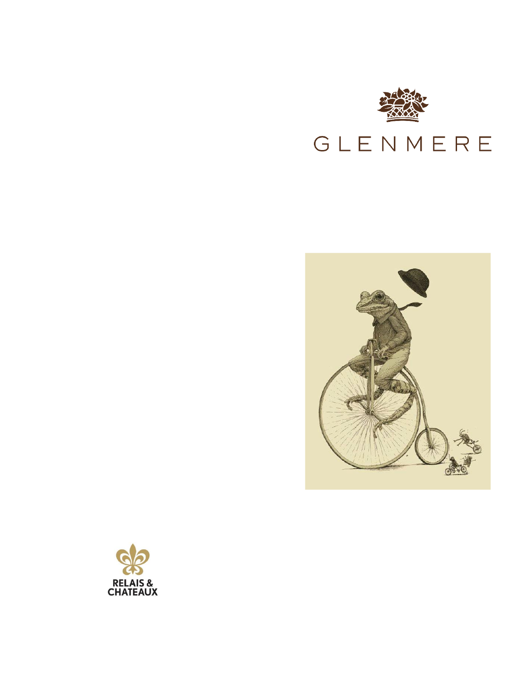